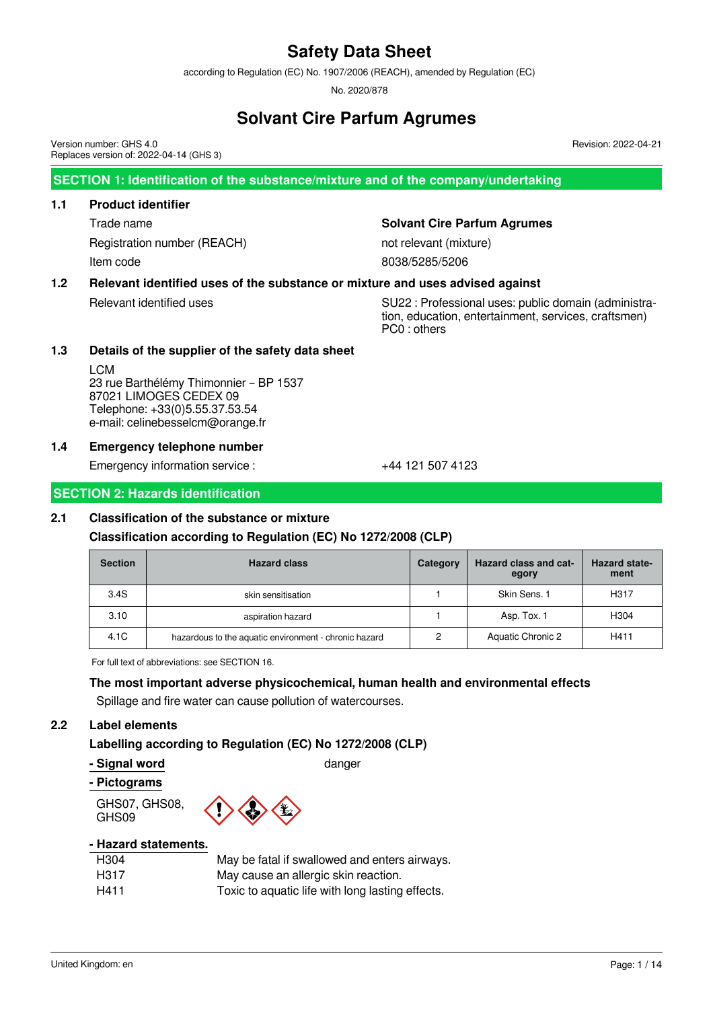according to Regulation (EC) No. 1907/2006 (REACH), amended by Regulation (EC)

No. 2020/878

# **Solvant Cire Parfum Agrumes**

Version number: GHS 4.0 Replaces version of: 2022-04-14 (GHS 3)

**SECTION 1: Identification of the substance/mixture and of the company/undertaking**

## **1.1 Product identifier**

Registration number (REACH) not relevant (mixture) Item code 8038/5285/5206

# Trade name **Solvant Cire Parfum Agrumes**

# **1.2 Relevant identified uses of the substance or mixture and uses advised against**

Relevant identified uses The SU22 : Professional uses: public domain (administration, education, entertainment, services, craftsmen) PC0 : others

Revision: 2022-04-21

# **1.3 Details of the supplier of the safety data sheet**

LCM 23 rue Barthélémy Thimonnier – BP 1537 87021 LIMOGES CEDEX 09 Telephone: +33(0)5.55.37.53.54 e-mail: celinebesselcm@orange.fr

# **1.4 Emergency telephone number**

Emergency information service :  $+44$  121 507 4123

# **SECTION 2: Hazards identification**

# **2.1 Classification of the substance or mixture**

# **Classification according to Regulation (EC) No 1272/2008 (CLP)**

| <b>Section</b> | <b>Hazard class</b>                                   | Category | Hazard class and cat-<br>egory | <b>Hazard state-</b><br>ment |
|----------------|-------------------------------------------------------|----------|--------------------------------|------------------------------|
| 3.4S           | skin sensitisation                                    |          | Skin Sens. 1                   | H317                         |
| 3.10           | aspiration hazard                                     |          | Asp. Tox. 1                    | H304                         |
| 4.1C           | hazardous to the aquatic environment - chronic hazard | 2        | Aquatic Chronic 2              | H411                         |

For full text of abbreviations: see SECTION 16.

# **The most important adverse physicochemical, human health and environmental effects**

Spillage and fire water can cause pollution of watercourses.

# **2.2 Label elements**

# **Labelling according to Regulation (EC) No 1272/2008 (CLP)**

#### **- Signal word** danger

#### **- Pictograms**

GHS07, GHS08, GHS09



# **- Hazard statements.**

| H304 | May be fatal if swallowed and enters airways.    |
|------|--------------------------------------------------|
| H317 | May cause an allergic skin reaction.             |
| H411 | Toxic to aquatic life with long lasting effects. |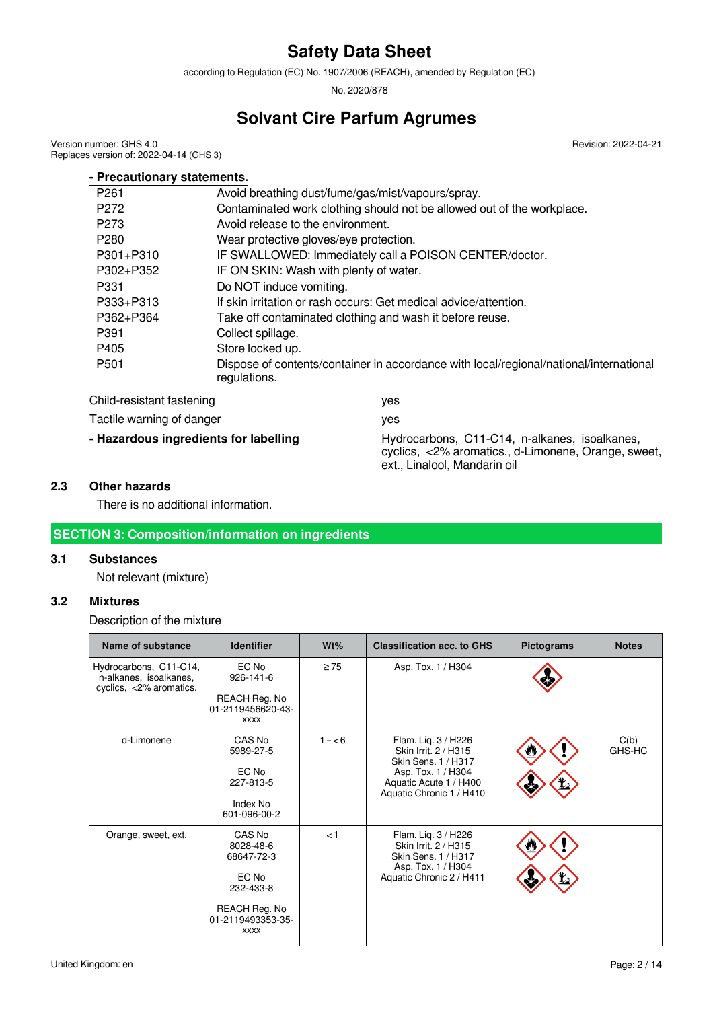according to Regulation (EC) No. 1907/2006 (REACH), amended by Regulation (EC)

No. 2020/878

# **Solvant Cire Parfum Agrumes**

Revision: 2022-04-21

Version number: GHS 4.0 Replaces version of: 2022-04-14 (GHS 3)

| - Precautionary statements. |                                        |                                                                                                                                      |
|-----------------------------|----------------------------------------|--------------------------------------------------------------------------------------------------------------------------------------|
| P <sub>261</sub>            |                                        | Avoid breathing dust/fume/gas/mist/vapours/spray.                                                                                    |
| P <sub>272</sub>            |                                        | Contaminated work clothing should not be allowed out of the workplace.                                                               |
| P273                        | Avoid release to the environment.      |                                                                                                                                      |
| P <sub>280</sub>            | Wear protective gloves/eye protection. |                                                                                                                                      |
| P301+P310                   |                                        | IF SWALLOWED: Immediately call a POISON CENTER/doctor.                                                                               |
| P302+P352                   | IF ON SKIN: Wash with plenty of water. |                                                                                                                                      |
| P331                        | Do NOT induce vomiting.                |                                                                                                                                      |
| P333+P313                   |                                        | If skin irritation or rash occurs: Get medical advice/attention.                                                                     |
| P362+P364                   |                                        | Take off contaminated clothing and wash it before reuse.                                                                             |
| P391                        | Collect spillage.                      |                                                                                                                                      |
| P405                        | Store locked up.                       |                                                                                                                                      |
| P <sub>501</sub>            | regulations.                           | Dispose of contents/container in accordance with local/regional/national/international                                               |
| Child-resistant fastening   |                                        | yes                                                                                                                                  |
| Tactile warning of danger   |                                        | yes                                                                                                                                  |
|                             | - Hazardous ingredients for labelling  | Hydrocarbons, C11-C14, n-alkanes, isoalkanes,<br>cyclics, <2% aromatics., d-Limonene, Orange, sweet,<br>ext., Linalool, Mandarin oil |

# **2.3 Other hazards**

There is no additional information.

# **SECTION 3: Composition/information on ingredients**

# **3.1 Substances**

Not relevant (mixture)

# **3.2 Mixtures**

Description of the mixture

| Name of substance<br><b>Identifier</b>                                      |                                                                                                              | Wt%       | <b>Classification acc. to GHS</b>                                                                                                              | <b>Pictograms</b> | <b>Notes</b>   |
|-----------------------------------------------------------------------------|--------------------------------------------------------------------------------------------------------------|-----------|------------------------------------------------------------------------------------------------------------------------------------------------|-------------------|----------------|
| Hydrocarbons, C11-C14,<br>n-alkanes, isoalkanes,<br>cyclics, <2% aromatics. | EC No<br>926-141-6<br>REACH Reg. No<br>01-2119456620-43-<br><b>XXXX</b>                                      | $\geq 75$ | Asp. Tox. 1 / H304                                                                                                                             |                   |                |
| d-Limonene                                                                  | CAS No<br>5989-27-5<br>EC No<br>227-813-5<br>Index No<br>601-096-00-2                                        | $1 - 6$   | Flam. Liq. 3 / H226<br>Skin Irrit. 2 / H315<br>Skin Sens. 1 / H317<br>Asp. Tox. 1 / H304<br>Aquatic Acute 1 / H400<br>Aquatic Chronic 1 / H410 |                   | C(b)<br>GHS-HC |
| Orange, sweet, ext.                                                         | CAS No<br>8028-48-6<br>68647-72-3<br>EC No<br>232-433-8<br>REACH Reg. No<br>01-2119493353-35-<br><b>XXXX</b> | $\leq$ 1  | Flam. Lig. 3 / H226<br>Skin Irrit. 2 / H315<br>Skin Sens. 1 / H317<br>Asp. Tox. 1 / H304<br>Aquatic Chronic 2 / H411                           |                   |                |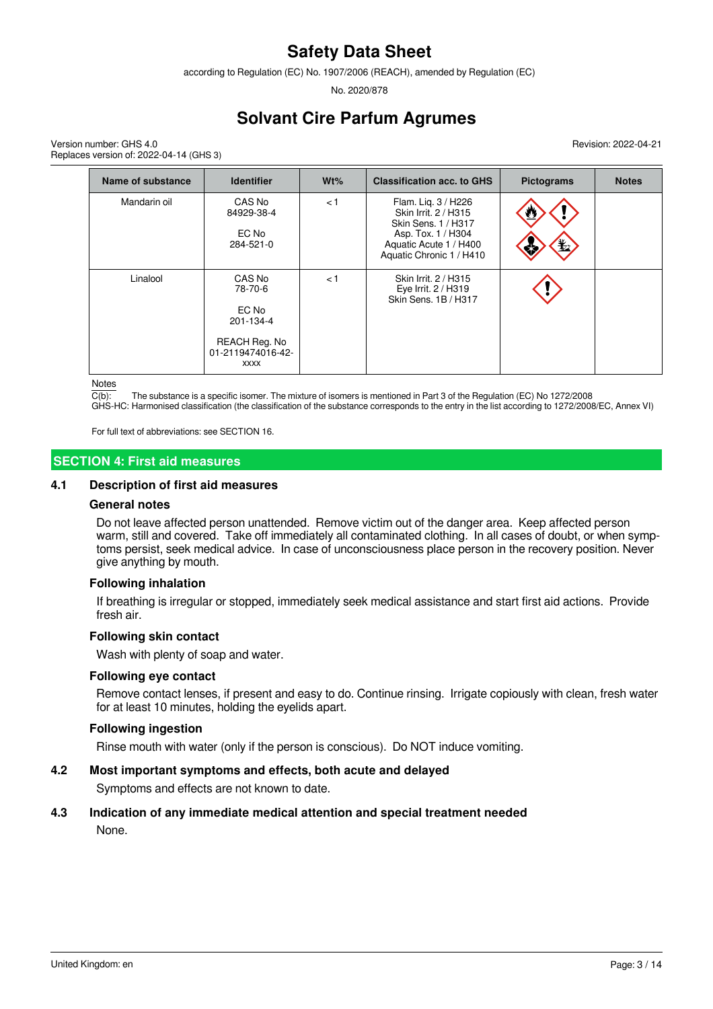according to Regulation (EC) No. 1907/2006 (REACH), amended by Regulation (EC)

No. 2020/878

# **Solvant Cire Parfum Agrumes**

Version number: GHS 4.0 Replaces version of: 2022-04-14 (GHS 3) Revision: 2022-04-21

| <b>Name of substance</b> | <b>Identifier</b>                                                                            | Wt% | <b>Classification acc. to GHS</b>                                                                                                              | <b>Pictograms</b> | <b>Notes</b> |
|--------------------------|----------------------------------------------------------------------------------------------|-----|------------------------------------------------------------------------------------------------------------------------------------------------|-------------------|--------------|
| Mandarin oil             | CAS No<br>84929-38-4<br>EC No<br>284-521-0                                                   | < 1 | Flam. Lig. 3 / H226<br>Skin Irrit, 2 / H315<br>Skin Sens. 1 / H317<br>Asp. Tox. 1 / H304<br>Aquatic Acute 1 / H400<br>Aquatic Chronic 1 / H410 | ₩<br>$\bigstar$   |              |
| Linalool                 | CAS No<br>78-70-6<br>EC No<br>201-134-4<br>REACH Reg. No<br>01-2119474016-42-<br><b>XXXX</b> | < 1 | Skin Irrit. 2 / H315<br>Eye Irrit. 2 / H319<br>Skin Sens, 1B / H317                                                                            |                   |              |

Notes

 $\overline{C(b)}$ : The substance is a specific isomer. The mixture of isomers is mentioned in Part 3 of the Regulation (EC) No 1272/2008

GHS-HC: Harmonised classification (the classification of the substance corresponds to the entry in the list according to 1272/2008/EC, Annex VI)

For full text of abbreviations: see SECTION 16.

## **SECTION 4: First aid measures**

#### **4.1 Description of first aid measures**

#### **General notes**

Do not leave affected person unattended. Remove victim out of the danger area. Keep affected person warm, still and covered. Take off immediately all contaminated clothing. In all cases of doubt, or when symptoms persist, seek medical advice. In case of unconsciousness place person in the recovery position. Never give anything by mouth.

#### **Following inhalation**

If breathing is irregular or stopped, immediately seek medical assistance and start first aid actions. Provide fresh air.

#### **Following skin contact**

Wash with plenty of soap and water.

#### **Following eye contact**

Remove contact lenses, if present and easy to do. Continue rinsing. Irrigate copiously with clean, fresh water for at least 10 minutes, holding the eyelids apart.

## **Following ingestion**

Rinse mouth with water (only if the person is conscious). Do NOT induce vomiting.

#### **4.2 Most important symptoms and effects, both acute and delayed**

Symptoms and effects are not known to date.

# **4.3 Indication of any immediate medical attention and special treatment needed**

None.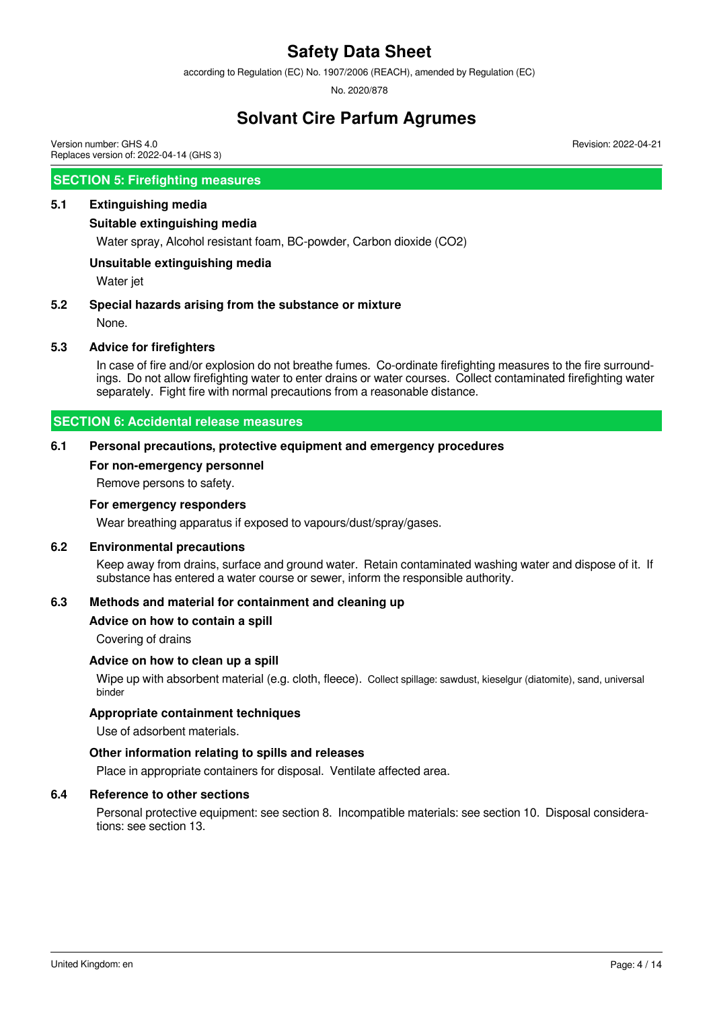according to Regulation (EC) No. 1907/2006 (REACH), amended by Regulation (EC)

No. 2020/878

# **Solvant Cire Parfum Agrumes**

Version number: GHS 4.0 Replaces version of: 2022-04-14 (GHS 3)

# **SECTION 5: Firefighting measures**

# **5.1 Extinguishing media**

#### **Suitable extinguishing media**

Water spray, Alcohol resistant foam, BC-powder, Carbon dioxide (CO2)

## **Unsuitable extinguishing media**

Water jet

## **5.2 Special hazards arising from the substance or mixture**

None.

## **5.3 Advice for firefighters**

In case of fire and/or explosion do not breathe fumes. Co-ordinate firefighting measures to the fire surroundings. Do not allow firefighting water to enter drains or water courses. Collect contaminated firefighting water separately. Fight fire with normal precautions from a reasonable distance.

## **SECTION 6: Accidental release measures**

## **6.1 Personal precautions, protective equipment and emergency procedures**

#### **For non-emergency personnel**

Remove persons to safety.

#### **For emergency responders**

Wear breathing apparatus if exposed to vapours/dust/spray/gases.

## **6.2 Environmental precautions**

Keep away from drains, surface and ground water. Retain contaminated washing water and dispose of it. If substance has entered a water course or sewer, inform the responsible authority.

# **6.3 Methods and material for containment and cleaning up**

#### **Advice on how to contain a spill**

Covering of drains

#### **Advice on how to clean up a spill**

Wipe up with absorbent material (e.g. cloth, fleece). Collect spillage: sawdust, kieselgur (diatomite), sand, universal binder

## **Appropriate containment techniques**

Use of adsorbent materials.

#### **Other information relating to spills and releases**

Place in appropriate containers for disposal. Ventilate affected area.

#### **6.4 Reference to other sections**

Personal protective equipment: see section 8. Incompatible materials: see section 10. Disposal considerations: see section 13.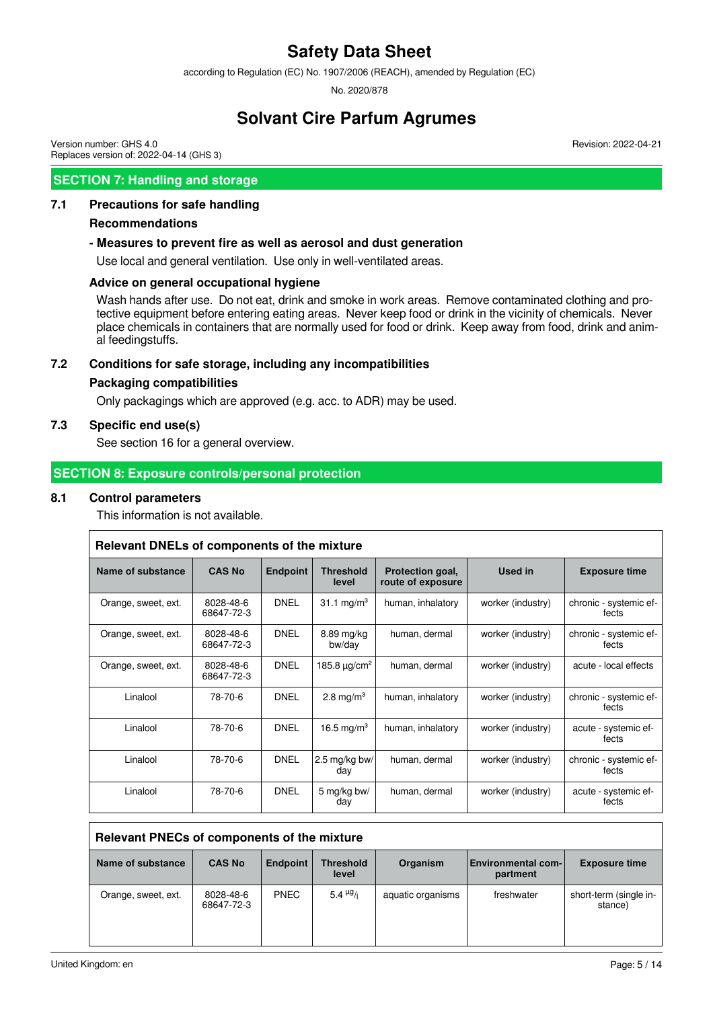according to Regulation (EC) No. 1907/2006 (REACH), amended by Regulation (EC)

No. 2020/878

# **Solvant Cire Parfum Agrumes**

Revision: 2022-04-21

Version number: GHS 4.0 Replaces version of: 2022-04-14 (GHS 3)

# **SECTION 7: Handling and storage**

# **7.1 Precautions for safe handling**

#### **Recommendations**

## **- Measures to prevent fire as well as aerosol and dust generation**

Use local and general ventilation. Use only in well-ventilated areas.

## **Advice on general occupational hygiene**

Wash hands after use. Do not eat, drink and smoke in work areas. Remove contaminated clothing and protective equipment before entering eating areas. Never keep food or drink in the vicinity of chemicals. Never place chemicals in containers that are normally used for food or drink. Keep away from food, drink and animal feedingstuffs.

## **7.2 Conditions for safe storage, including any incompatibilities**

## **Packaging compatibilities**

Only packagings which are approved (e.g. acc. to ADR) may be used.

# **7.3 Specific end use(s)**

See section 16 for a general overview.

# **SECTION 8: Exposure controls/personal protection**

## **8.1 Control parameters**

This information is not available.

| Relevant DNELs of components of the mixture    |                         |                 |                               |                                       |                   |                                 |  |  |
|------------------------------------------------|-------------------------|-----------------|-------------------------------|---------------------------------------|-------------------|---------------------------------|--|--|
| Name of substance                              | <b>CAS No</b>           | <b>Endpoint</b> | <b>Threshold</b><br>level     | Protection goal,<br>route of exposure | Used in           | <b>Exposure time</b>            |  |  |
| Orange, sweet, ext.                            | 8028-48-6<br>68647-72-3 | <b>DNEL</b>     | 31.1 mg/m <sup>3</sup>        | human, inhalatory                     | worker (industry) | chronic - systemic ef-<br>fects |  |  |
| 8028-48-6<br>Orange, sweet, ext.<br>68647-72-3 |                         | <b>DNEL</b>     | 8.89 mg/kg<br>bw/day          | human, dermal                         | worker (industry) | chronic - systemic ef-<br>fects |  |  |
| Orange, sweet, ext.                            | 8028-48-6<br>68647-72-3 | <b>DNEL</b>     | 185.8 $\mu$ g/cm <sup>2</sup> | human, dermal                         | worker (industry) | acute - local effects           |  |  |
| Linalool                                       | 78-70-6                 | <b>DNEL</b>     | 2.8 mg/m <sup>3</sup>         | human, inhalatory                     | worker (industry) | chronic - systemic ef-<br>fects |  |  |
| Linalool                                       | 78-70-6                 | <b>DNEL</b>     | 16.5 mg/m <sup>3</sup>        | human, inhalatory                     | worker (industry) | acute - systemic ef-<br>fects   |  |  |
| Linalool                                       | 78-70-6                 | <b>DNEL</b>     | 2.5 mg/kg bw/<br>day          | human, dermal                         | worker (industry) | chronic - systemic ef-<br>fects |  |  |
| Linalool                                       | 78-70-6                 | <b>DNEL</b>     | 5 mg/kg bw/<br>day            | human, dermal                         | worker (industry) | acute - systemic ef-<br>fects   |  |  |

| Relevant PNECs of components of the mixture |                         |                 |                           |                   |                                       |                                   |  |  |
|---------------------------------------------|-------------------------|-----------------|---------------------------|-------------------|---------------------------------------|-----------------------------------|--|--|
| Name of substance                           | <b>CAS No</b>           | <b>Endpoint</b> | <b>Threshold</b><br>level | Organism          | <b>Environmental com-</b><br>partment | <b>Exposure time</b>              |  |  |
| Orange, sweet, ext.                         | 8028-48-6<br>68647-72-3 | <b>PNEC</b>     | $5.4 \frac{\mu g}{\mu}$   | aquatic organisms | freshwater                            | short-term (single in-<br>stance) |  |  |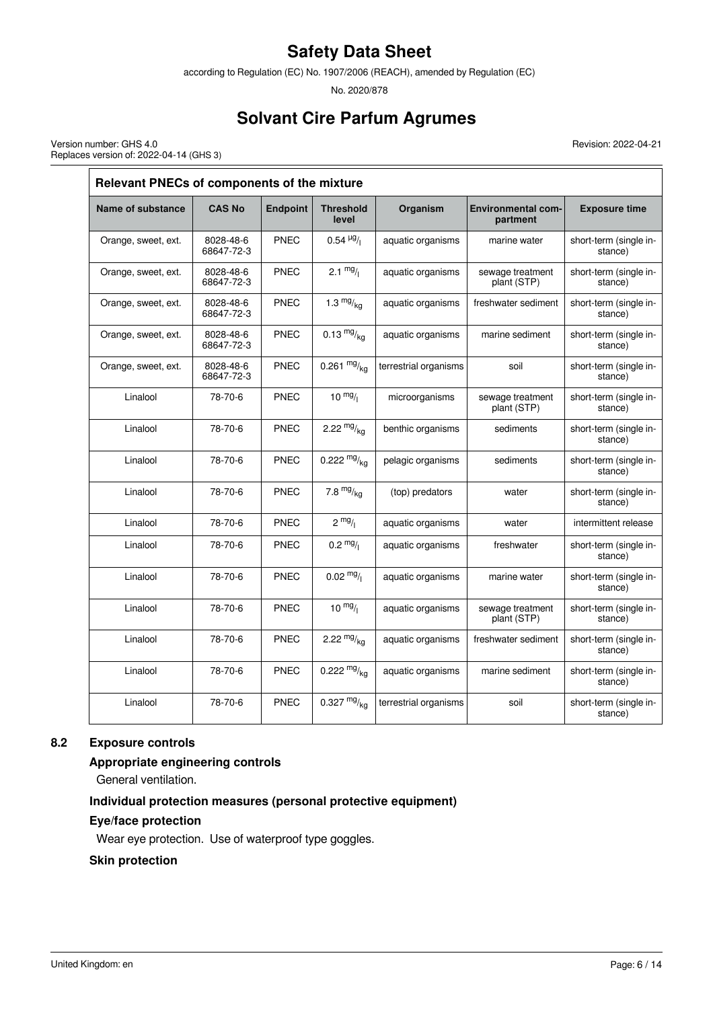according to Regulation (EC) No. 1907/2006 (REACH), amended by Regulation (EC)

No. 2020/878

# **Solvant Cire Parfum Agrumes**

Revision: 2022-04-21

Version number: GHS 4.0 Replaces version of: 2022-04-14 (GHS 3)

| Relevant PNECs of components of the mixture |                         |                 |                           |                                   |                                       |                                   |  |  |
|---------------------------------------------|-------------------------|-----------------|---------------------------|-----------------------------------|---------------------------------------|-----------------------------------|--|--|
| Name of substance                           | <b>CAS No</b>           | <b>Endpoint</b> | <b>Threshold</b><br>level | Organism                          | <b>Environmental com-</b><br>partment | <b>Exposure time</b>              |  |  |
| Orange, sweet, ext.                         | 8028-48-6<br>68647-72-3 | <b>PNEC</b>     | $0.54 \frac{\mu g}{I}$    | aquatic organisms<br>marine water |                                       | short-term (single in-<br>stance) |  |  |
| Orange, sweet, ext.                         | 8028-48-6<br>68647-72-3 | <b>PNEC</b>     | $2.1 \frac{mg}{l}$        | aquatic organisms                 | sewage treatment<br>plant (STP)       | short-term (single in-<br>stance) |  |  |
| Orange, sweet, ext.                         | 8028-48-6<br>68647-72-3 | <b>PNEC</b>     | 1.3 $mg/kq$               | aquatic organisms                 | freshwater sediment                   | short-term (single in-<br>stance) |  |  |
| Orange, sweet, ext.                         | 8028-48-6<br>68647-72-3 | <b>PNEC</b>     | $0.13 \frac{mg}{kg}$      | aquatic organisms                 | marine sediment                       | short-term (single in-<br>stance) |  |  |
| Orange, sweet, ext.                         | 8028-48-6<br>68647-72-3 | <b>PNEC</b>     | 0.261 $mg/kg$             | terrestrial organisms             | soil                                  | short-term (single in-<br>stance) |  |  |
| Linalool                                    | 78-70-6                 | <b>PNEC</b>     | $10 \frac{mg}{l}$         | microorganisms                    | sewage treatment<br>plant (STP)       | short-term (single in-<br>stance) |  |  |
| Linalool                                    | 78-70-6                 | <b>PNEC</b>     | 2.22 $mg/kq$              | benthic organisms                 | sediments                             | short-term (single in-<br>stance) |  |  |
| Linalool                                    | 78-70-6                 | <b>PNEC</b>     | 0.222 $mg/kq$             | pelagic organisms                 | sediments                             | short-term (single in-<br>stance) |  |  |
| Linalool                                    | 78-70-6                 | <b>PNEC</b>     | 7.8 $mg/kq$               | (top) predators                   | water                                 | short-term (single in-<br>stance) |  |  |
| Linalool                                    | 78-70-6                 | <b>PNEC</b>     | $2 \frac{mg}{l}$          | aquatic organisms                 | water                                 | intermittent release              |  |  |
| Linalool                                    | 78-70-6                 | <b>PNEC</b>     | $0.2 \frac{mg}{l}$        | aquatic organisms                 | freshwater                            | short-term (single in-<br>stance) |  |  |
| Linalool                                    | 78-70-6                 | <b>PNEC</b>     | $0.02 \frac{mg}{l}$       | aquatic organisms                 | marine water                          | short-term (single in-<br>stance) |  |  |
| Linalool                                    | 78-70-6                 | <b>PNEC</b>     | $10^{mg}/l$               | aquatic organisms                 | sewage treatment<br>plant (STP)       | short-term (single in-<br>stance) |  |  |
| Linalool                                    | 78-70-6                 | <b>PNEC</b>     | 2.22 $mg/kq$              | aquatic organisms                 | freshwater sediment                   | short-term (single in-<br>stance) |  |  |
| Linalool                                    | 78-70-6                 | <b>PNEC</b>     | 0.222 $mg/kq$             | aquatic organisms                 | marine sediment                       | short-term (single in-<br>stance) |  |  |
| Linalool                                    | 78-70-6                 | <b>PNEC</b>     | 0.327 $mg/kq$             | terrestrial organisms             | soil                                  | short-term (single in-<br>stance) |  |  |

# **8.2 Exposure controls**

# **Appropriate engineering controls**

General ventilation.

# **Individual protection measures (personal protective equipment)**

# **Eye/face protection**

Wear eye protection. Use of waterproof type goggles.

## **Skin protection**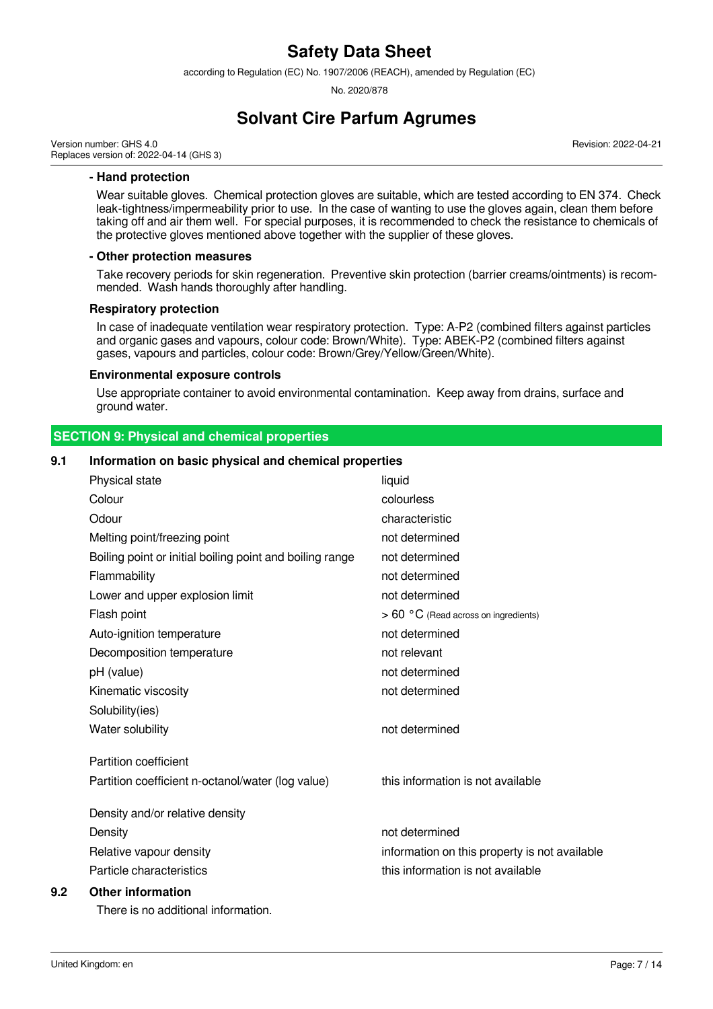according to Regulation (EC) No. 1907/2006 (REACH), amended by Regulation (EC)

No. 2020/878

# **Solvant Cire Parfum Agrumes**

Version number: GHS 4.0 Replaces version of: 2022-04-14 (GHS 3) Revision: 2022-04-21

#### **- Hand protection**

Wear suitable gloves. Chemical protection gloves are suitable, which are tested according to EN 374. Check leak-tightness/impermeability prior to use. In the case of wanting to use the gloves again, clean them before taking off and air them well. For special purposes, it is recommended to check the resistance to chemicals of the protective gloves mentioned above together with the supplier of these gloves.

#### **- Other protection measures**

Take recovery periods for skin regeneration. Preventive skin protection (barrier creams/ointments) is recommended. Wash hands thoroughly after handling.

#### **Respiratory protection**

In case of inadequate ventilation wear respiratory protection. Type: A-P2 (combined filters against particles and organic gases and vapours, colour code: Brown/White). Type: ABEK-P2 (combined filters against gases, vapours and particles, colour code: Brown/Grey/Yellow/Green/White).

#### **Environmental exposure controls**

Use appropriate container to avoid environmental contamination. Keep away from drains, surface and ground water.

| <b>SECTION 9: Physical and chemical properties</b> |  |
|----------------------------------------------------|--|
|                                                    |  |

## **9.1 Information on basic physical and chemical properties**

| 9.2 | <b>Other information</b>                                 |                                               |
|-----|----------------------------------------------------------|-----------------------------------------------|
|     | Particle characteristics                                 | this information is not available             |
|     | Relative vapour density                                  | information on this property is not available |
|     | Density                                                  | not determined                                |
|     | Density and/or relative density                          |                                               |
|     | Partition coefficient n-octanol/water (log value)        | this information is not available             |
|     | <b>Partition coefficient</b>                             |                                               |
|     | Water solubility                                         | not determined                                |
|     | Solubility(ies)                                          |                                               |
|     | Kinematic viscosity                                      | not determined                                |
|     | pH (value)                                               | not determined                                |
|     | Decomposition temperature                                | not relevant                                  |
|     | Auto-ignition temperature                                | not determined                                |
|     | Flash point                                              | $> 60 °C$ (Read across on ingredients)        |
|     | Lower and upper explosion limit                          | not determined                                |
|     | Flammability                                             | not determined                                |
|     | Boiling point or initial boiling point and boiling range | not determined                                |
|     | Melting point/freezing point                             | not determined                                |
|     | Odour                                                    | characteristic                                |
|     | Colour                                                   | colourless                                    |
|     | Physical state                                           | liquid                                        |

There is no additional information.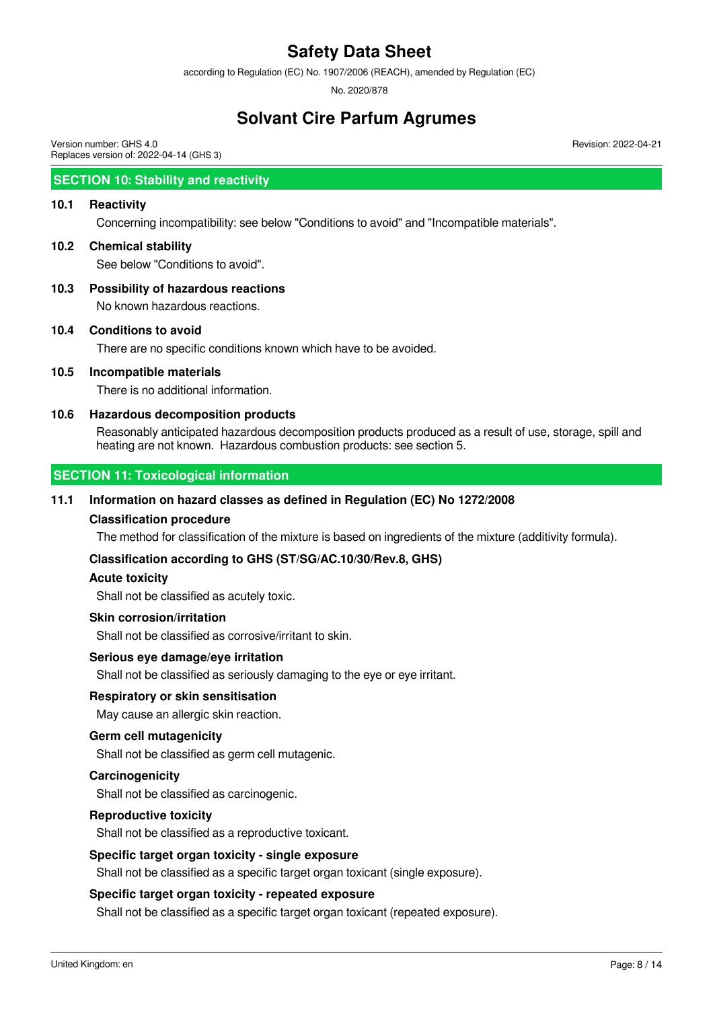according to Regulation (EC) No. 1907/2006 (REACH), amended by Regulation (EC)

No. 2020/878

# **Solvant Cire Parfum Agrumes**

Version number: GHS 4.0 Replaces version of: 2022-04-14 (GHS 3)

# **SECTION 10: Stability and reactivity**

## **10.1 Reactivity**

Concerning incompatibility: see below "Conditions to avoid" and "Incompatible materials".

# **10.2 Chemical stability**

See below "Conditions to avoid".

## **10.3 Possibility of hazardous reactions**

No known hazardous reactions.

## **10.4 Conditions to avoid**

There are no specific conditions known which have to be avoided.

## **10.5 Incompatible materials**

There is no additional information.

## **10.6 Hazardous decomposition products**

Reasonably anticipated hazardous decomposition products produced as a result of use, storage, spill and heating are not known. Hazardous combustion products: see section 5.

# **SECTION 11: Toxicological information**

## **11.1 Information on hazard classes as defined in Regulation (EC) No 1272/2008**

#### **Classification procedure**

The method for classification of the mixture is based on ingredients of the mixture (additivity formula).

#### **Classification according to GHS (ST/SG/AC.10/30/Rev.8, GHS)**

#### **Acute toxicity**

Shall not be classified as acutely toxic.

#### **Skin corrosion/irritation**

Shall not be classified as corrosive/irritant to skin.

#### **Serious eye damage/eye irritation**

Shall not be classified as seriously damaging to the eye or eye irritant.

#### **Respiratory or skin sensitisation**

May cause an allergic skin reaction.

#### **Germ cell mutagenicity**

Shall not be classified as germ cell mutagenic.

#### **Carcinogenicity**

Shall not be classified as carcinogenic.

#### **Reproductive toxicity**

Shall not be classified as a reproductive toxicant.

#### **Specific target organ toxicity - single exposure**

Shall not be classified as a specific target organ toxicant (single exposure).

#### **Specific target organ toxicity - repeated exposure**

Shall not be classified as a specific target organ toxicant (repeated exposure).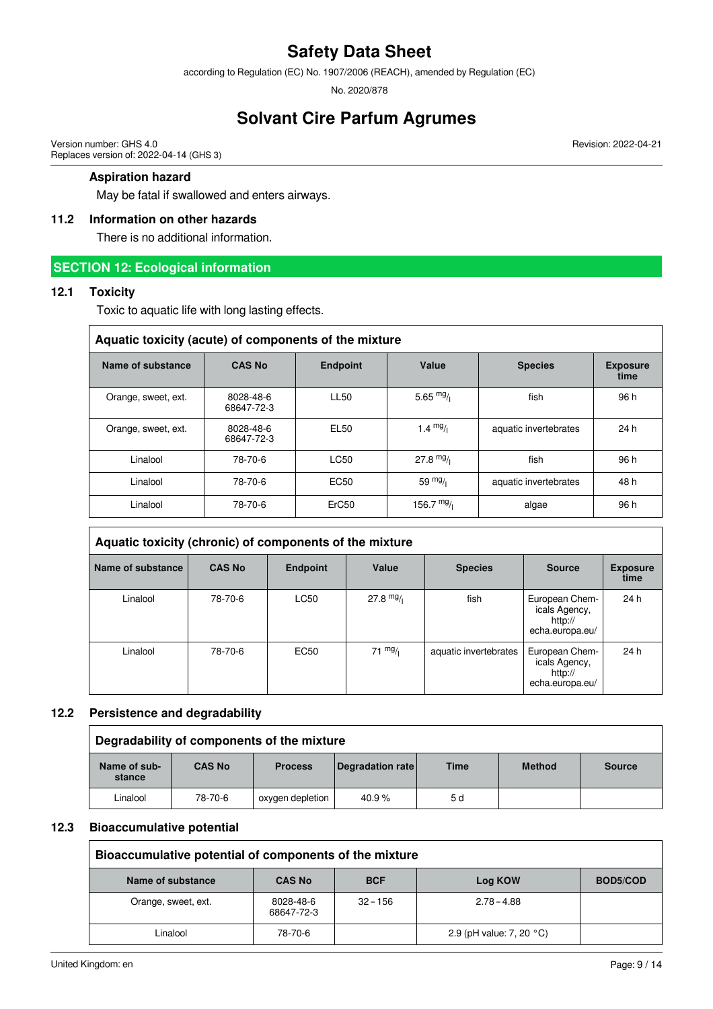according to Regulation (EC) No. 1907/2006 (REACH), amended by Regulation (EC)

No. 2020/878

# **Solvant Cire Parfum Agrumes**

Version number: GHS 4.0 Replaces version of: 2022-04-14 (GHS 3)

## **Aspiration hazard**

May be fatal if swallowed and enters airways.

# **11.2 Information on other hazards**

There is no additional information.

# **SECTION 12: Ecological information**

## **12.1 Toxicity**

Toxic to aquatic life with long lasting effects.

| Aquatic toxicity (acute) of components of the mixture                            |                         |                   |                   |                       |                         |  |  |  |  |
|----------------------------------------------------------------------------------|-------------------------|-------------------|-------------------|-----------------------|-------------------------|--|--|--|--|
| Name of substance<br><b>CAS No</b><br>Value<br><b>Endpoint</b><br><b>Species</b> |                         |                   |                   |                       | <b>Exposure</b><br>time |  |  |  |  |
| Orange, sweet, ext.                                                              | 8028-48-6<br>68647-72-3 | <b>LL50</b>       | 5.65 $mg/$        | fish                  | 96 h                    |  |  |  |  |
| Orange, sweet, ext.                                                              | 8028-48-6<br>68647-72-3 | EL50              | 1.4 $mg/$         | aquatic invertebrates | 24 h                    |  |  |  |  |
| Linalool                                                                         | 78-70-6                 | LC50              | $27.8 \text{ mg}$ | fish                  | 96 h                    |  |  |  |  |
| Linalool                                                                         | 78-70-6                 | EC <sub>50</sub>  | 59 $mg/1$         | aquatic invertebrates | 48 h                    |  |  |  |  |
| Linalool                                                                         | 78-70-6                 | ErC <sub>50</sub> | 156.7 $mg/$       | algae                 | 96 h                    |  |  |  |  |

| Aquatic toxicity (chronic) of components of the mixture |               |                  |                   |                       |                                                               |                         |  |  |
|---------------------------------------------------------|---------------|------------------|-------------------|-----------------------|---------------------------------------------------------------|-------------------------|--|--|
| Name of substance                                       | <b>CAS No</b> | <b>Endpoint</b>  | Value             | <b>Species</b>        | <b>Source</b>                                                 | <b>Exposure</b><br>time |  |  |
| Linalool                                                | 78-70-6       | <b>LC50</b>      | $27.8$ mg/        | fish                  | European Chem-<br>icals Agency,<br>http://<br>echa.europa.eu/ | 24 h                    |  |  |
| Linalool                                                | 78-70-6       | EC <sub>50</sub> | $71 \frac{mg}{l}$ | aquatic invertebrates | European Chem-<br>icals Agency,<br>http://<br>echa.europa.eu/ | 24 h                    |  |  |

#### **12.2 Persistence and degradability**

| Degradability of components of the mixture |               |                  |                  |             |               |               |
|--------------------------------------------|---------------|------------------|------------------|-------------|---------------|---------------|
| Name of sub-<br>stance                     | <b>CAS No</b> | <b>Process</b>   | Degradation rate | <b>Time</b> | <b>Method</b> | <b>Source</b> |
| Linalool                                   | 78-70-6       | oxygen depletion | 40.9%            | 5 d         |               |               |

#### **12.3 Bioaccumulative potential**

| Bioaccumulative potential of components of the mixture |                         |            |                                    |          |
|--------------------------------------------------------|-------------------------|------------|------------------------------------|----------|
| Name of substance                                      | <b>CAS No</b>           | <b>BCF</b> | Log KOW                            | BOD5/COD |
| Orange, sweet, ext.                                    | 8028-48-6<br>68647-72-3 | $32 - 156$ | $2.78 - 4.88$                      |          |
| Linalool                                               | 78-70-6                 |            | 2.9 (pH value: 7, 20 $^{\circ}$ C) |          |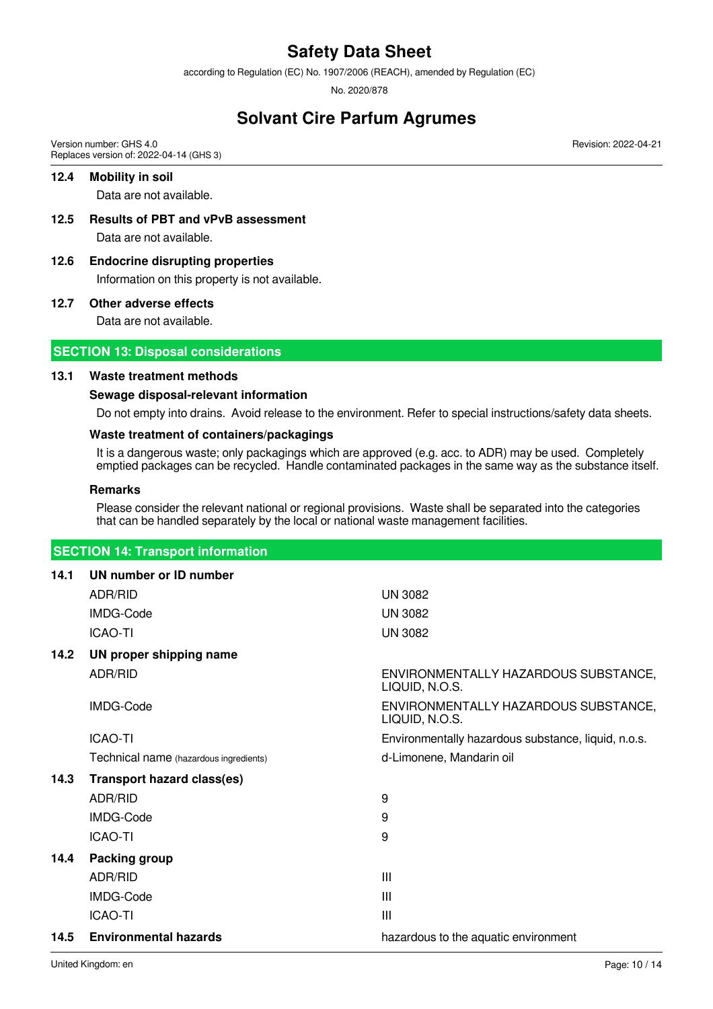according to Regulation (EC) No. 1907/2006 (REACH), amended by Regulation (EC)

No. 2020/878

# **Solvant Cire Parfum Agrumes**

Version number: GHS 4.0 Replaces version of: 2022-04-14 (GHS 3)

## **12.4 Mobility in soil**

Data are not available.

- **12.5 Results of PBT and vPvB assessment** Data are not available.
- **12.6 Endocrine disrupting properties** Information on this property is not available.

#### **12.7 Other adverse effects**

Data are not available.

# **SECTION 13: Disposal considerations**

## **13.1 Waste treatment methods**

# **Sewage disposal-relevant information**

Do not empty into drains. Avoid release to the environment. Refer to special instructions/safety data sheets.

# **Waste treatment of containers/packagings**

It is a dangerous waste; only packagings which are approved (e.g. acc. to ADR) may be used. Completely emptied packages can be recycled. Handle contaminated packages in the same way as the substance itself.

#### **Remarks**

Please consider the relevant national or regional provisions. Waste shall be separated into the categories that can be handled separately by the local or national waste management facilities.

# **SECTION 14: Transport information**

| 14.1 | UN number or ID number                 |                                                        |
|------|----------------------------------------|--------------------------------------------------------|
|      | ADR/RID                                | <b>UN 3082</b>                                         |
|      | IMDG-Code                              | <b>UN 3082</b>                                         |
|      | <b>ICAO-TI</b>                         | <b>UN 3082</b>                                         |
| 14.2 | UN proper shipping name                |                                                        |
|      | ADR/RID                                | ENVIRONMENTALLY HAZARDOUS SUBSTANCE,<br>LIQUID, N.O.S. |
|      | IMDG-Code                              | ENVIRONMENTALLY HAZARDOUS SUBSTANCE,<br>LIQUID, N.O.S. |
|      | <b>ICAO-TI</b>                         | Environmentally hazardous substance, liquid, n.o.s.    |
|      | Technical name (hazardous ingredients) | d-Limonene, Mandarin oil                               |
| 14.3 | <b>Transport hazard class(es)</b>      |                                                        |
|      | ADR/RID                                | 9                                                      |
|      | IMDG-Code                              | 9                                                      |
|      | <b>ICAO-TI</b>                         | 9                                                      |
| 14.4 | Packing group                          |                                                        |
|      | ADR/RID                                | Ш                                                      |
|      | IMDG-Code                              | Ш                                                      |
|      | <b>ICAO-TI</b>                         | Ш                                                      |
| 14.5 | <b>Environmental hazards</b>           | hazardous to the aquatic environment                   |
|      |                                        |                                                        |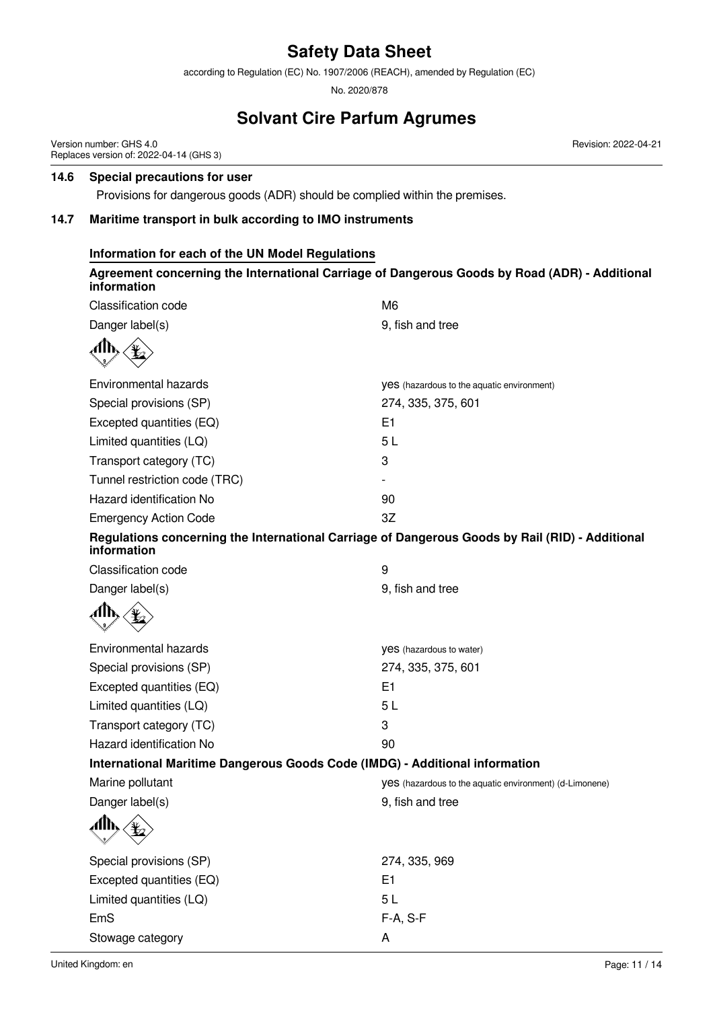according to Regulation (EC) No. 1907/2006 (REACH), amended by Regulation (EC)

No. 2020/878

# **Solvant Cire Parfum Agrumes**

Version number: GHS 4.0 Replaces version of: 2022-04-14 (GHS 3)

## **14.6 Special precautions for user**

Provisions for dangerous goods (ADR) should be complied within the premises.

## **14.7 Maritime transport in bulk according to IMO instruments**

# **Information for each of the UN Model Regulations**

## **Agreement concerning the International Carriage of Dangerous Goods by Road (ADR) - Additional information**

| <b>Classification code</b>                                                                                     | M <sub>6</sub>                                                 |
|----------------------------------------------------------------------------------------------------------------|----------------------------------------------------------------|
| Danger label(s)                                                                                                | 9, fish and tree                                               |
|                                                                                                                |                                                                |
| Environmental hazards                                                                                          | <b>VeS</b> (hazardous to the aquatic environment)              |
| Special provisions (SP)                                                                                        | 274, 335, 375, 601                                             |
| Excepted quantities (EQ)                                                                                       | E1                                                             |
| Limited quantities (LQ)                                                                                        | 5L                                                             |
| Transport category (TC)                                                                                        | 3                                                              |
| Tunnel restriction code (TRC)                                                                                  |                                                                |
| Hazard identification No                                                                                       | 90                                                             |
| <b>Emergency Action Code</b>                                                                                   | 3Z                                                             |
| Regulations concerning the International Carriage of Dangerous Goods by Rail (RID) - Additional<br>information |                                                                |
| <b>Classification code</b>                                                                                     | 9                                                              |
| Danger label(s)                                                                                                | 9, fish and tree                                               |
|                                                                                                                |                                                                |
| Environmental hazards                                                                                          | yes (hazardous to water)                                       |
| Special provisions (SP)                                                                                        | 274, 335, 375, 601                                             |
| Excepted quantities (EQ)                                                                                       | E1                                                             |
| Limited quantities (LQ)                                                                                        | 5L                                                             |
| Transport category (TC)                                                                                        | 3                                                              |
| Hazard identification No                                                                                       | 90                                                             |
| International Maritime Dangerous Goods Code (IMDG) - Additional information                                    |                                                                |
| Marine pollutant                                                                                               | <b>VeS</b> (hazardous to the aquatic environment) (d-Limonene) |
| Danger label(s)                                                                                                | 9, fish and tree                                               |
|                                                                                                                |                                                                |
| Special provisions (SP)                                                                                        | 274, 335, 969                                                  |
| Excepted quantities (EQ)                                                                                       | E <sub>1</sub>                                                 |
| Limited quantities (LQ)                                                                                        | 5L                                                             |
| EmS                                                                                                            | F-A, S-F                                                       |
| Stowage category                                                                                               | Α                                                              |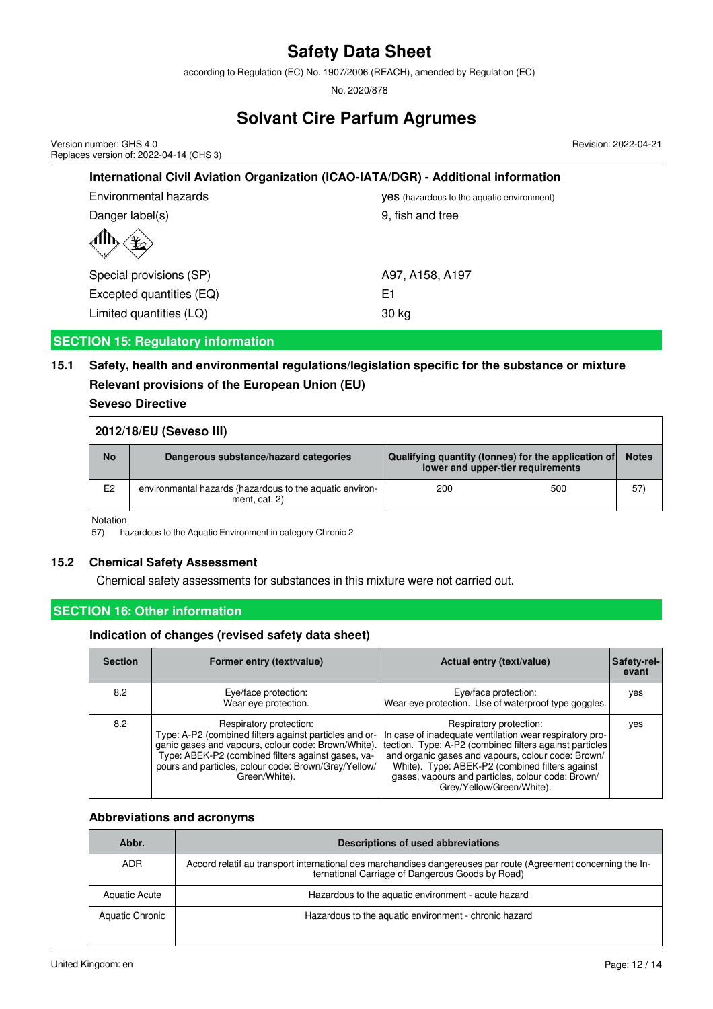according to Regulation (EC) No. 1907/2006 (REACH), amended by Regulation (EC)

No. 2020/878

# **Solvant Cire Parfum Agrumes**

Version number: GHS 4.0 Replaces version of: 2022-04-14 (GHS 3) Revision: 2022-04-21

| International Civil Aviation Organization (ICAO-IATA/DGR) - Additional information |                                                   |  |
|------------------------------------------------------------------------------------|---------------------------------------------------|--|
| Environmental hazards                                                              | <b>Ves</b> (hazardous to the aquatic environment) |  |
| Danger label(s)                                                                    | 9, fish and tree                                  |  |
|                                                                                    |                                                   |  |
| Special provisions (SP)                                                            | A97, A158, A197                                   |  |
| Excepted quantities (EQ)                                                           | E1                                                |  |
| Limited quantities (LQ)                                                            | 30 kg                                             |  |

# **SECTION 15: Regulatory information**

# **15.1 Safety, health and environmental regulations/legislation specific for the substance or mixture Relevant provisions of the European Union (EU)**

# **Seveso Directive**

| 2012/18/EU (Seveso III) |                                                                           |                                                                                          |     |              |
|-------------------------|---------------------------------------------------------------------------|------------------------------------------------------------------------------------------|-----|--------------|
| <b>No</b>               | Dangerous substance/hazard categories                                     | Qualifying quantity (tonnes) for the application of<br>lower and upper-tier requirements |     | <b>Notes</b> |
| E <sub>2</sub>          | environmental hazards (hazardous to the aquatic environ-<br>ment, cat. 2) | 200                                                                                      | 500 | 57)          |

Notation

57) hazardous to the Aquatic Environment in category Chronic 2

# **15.2 Chemical Safety Assessment**

Chemical safety assessments for substances in this mixture were not carried out.

# **SECTION 16: Other information**

## **Indication of changes (revised safety data sheet)**

| <b>Section</b> | Former entry (text/value)                                                                                                                                                                                        | Actual entry (text/value)                                                                                                                                                                                                                                                                                                                                                                    | Safety-rel-<br>evant |
|----------------|------------------------------------------------------------------------------------------------------------------------------------------------------------------------------------------------------------------|----------------------------------------------------------------------------------------------------------------------------------------------------------------------------------------------------------------------------------------------------------------------------------------------------------------------------------------------------------------------------------------------|----------------------|
| 8.2            | Eye/face protection:<br>Wear eye protection.                                                                                                                                                                     | Eye/face protection:<br>Wear eye protection. Use of waterproof type goggles.                                                                                                                                                                                                                                                                                                                 | yes                  |
| 8.2            | Respiratory protection:<br>Type: A-P2 (combined filters against particles and or-<br>Type: ABEK-P2 (combined filters against gases, va-<br>pours and particles, colour code: Brown/Grey/Yellow/<br>Green/White). | Respiratory protection:<br>In case of inadequate ventilation wear respiratory pro-<br>ganic gases and vapours, colour code: Brown/White). tection. Type: A-P2 (combined filters against particles<br>and organic gases and vapours, colour code: Brown/<br>White). Type: ABEK-P2 (combined filters against<br>gases, vapours and particles, colour code: Brown/<br>Grey/Yellow/Green/White). | yes                  |

#### **Abbreviations and acronyms**

| Abbr.                | Descriptions of used abbreviations                                                                                                                                 |
|----------------------|--------------------------------------------------------------------------------------------------------------------------------------------------------------------|
| ADR.                 | Accord relatif au transport international des marchandises dangereuses par route (Agreement concerning the In-<br>ternational Carriage of Dangerous Goods by Road) |
| <b>Aquatic Acute</b> | Hazardous to the aquatic environment - acute hazard                                                                                                                |
| Aquatic Chronic      | Hazardous to the aquatic environment - chronic hazard                                                                                                              |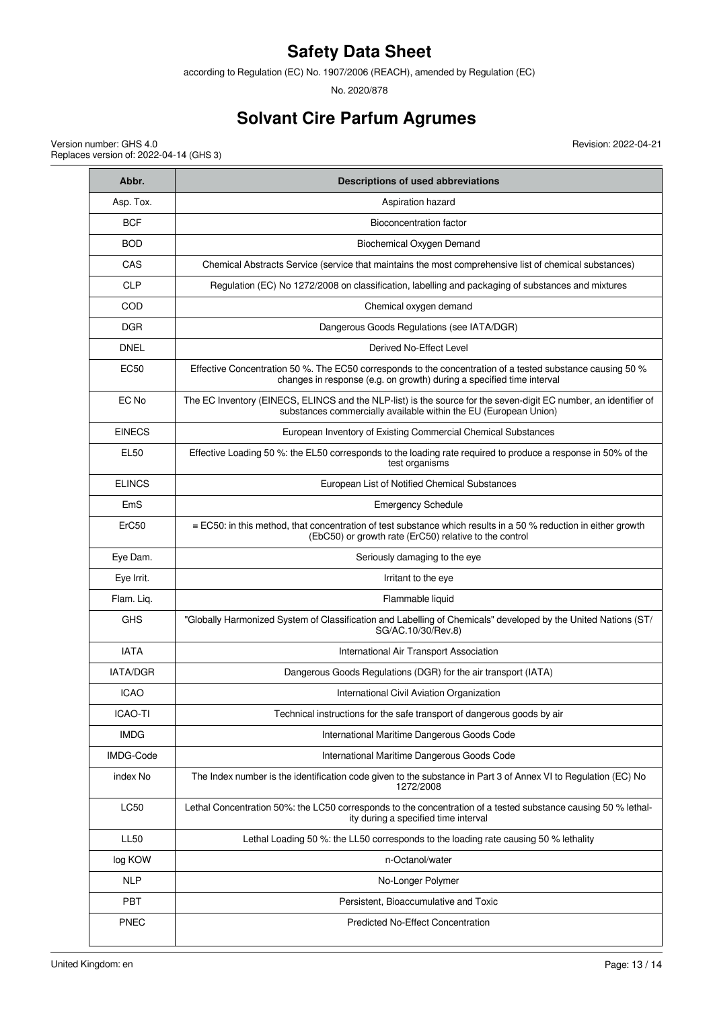according to Regulation (EC) No. 1907/2006 (REACH), amended by Regulation (EC)

No. 2020/878

# **Solvant Cire Parfum Agrumes**

Revision: 2022-04-21

Version number: GHS 4.0 Replaces version of: 2022-04-14 (GHS 3)

| Abbr.          | Descriptions of used abbreviations                                                                                                                                                   |
|----------------|--------------------------------------------------------------------------------------------------------------------------------------------------------------------------------------|
| Asp. Tox.      | Aspiration hazard                                                                                                                                                                    |
| <b>BCF</b>     | Bioconcentration factor                                                                                                                                                              |
| <b>BOD</b>     | Biochemical Oxygen Demand                                                                                                                                                            |
| CAS            | Chemical Abstracts Service (service that maintains the most comprehensive list of chemical substances)                                                                               |
| <b>CLP</b>     | Regulation (EC) No 1272/2008 on classification, labelling and packaging of substances and mixtures                                                                                   |
| COD            | Chemical oxygen demand                                                                                                                                                               |
| <b>DGR</b>     | Dangerous Goods Regulations (see IATA/DGR)                                                                                                                                           |
| <b>DNEL</b>    | Derived No-Effect Level                                                                                                                                                              |
| EC50           | Effective Concentration 50 %. The EC50 corresponds to the concentration of a tested substance causing 50 %<br>changes in response (e.g. on growth) during a specified time interval  |
| EC No          | The EC Inventory (EINECS, ELINCS and the NLP-list) is the source for the seven-digit EC number, an identifier of<br>substances commercially available within the EU (European Union) |
| <b>EINECS</b>  | European Inventory of Existing Commercial Chemical Substances                                                                                                                        |
| <b>EL50</b>    | Effective Loading 50 %: the EL50 corresponds to the loading rate required to produce a response in 50% of the<br>test organisms                                                      |
| <b>ELINCS</b>  | European List of Notified Chemical Substances                                                                                                                                        |
| EmS            | <b>Emergency Schedule</b>                                                                                                                                                            |
| ErC50          | $\equiv$ EC50: in this method, that concentration of test substance which results in a 50 % reduction in either growth<br>(EbC50) or growth rate (ErC50) relative to the control     |
| Eye Dam.       | Seriously damaging to the eye                                                                                                                                                        |
| Eye Irrit.     | Irritant to the eye                                                                                                                                                                  |
| Flam. Liq.     | Flammable liquid                                                                                                                                                                     |
| <b>GHS</b>     | "Globally Harmonized System of Classification and Labelling of Chemicals" developed by the United Nations (ST/<br>SG/AC.10/30/Rev.8)                                                 |
| <b>IATA</b>    | International Air Transport Association                                                                                                                                              |
| IATA/DGR       | Dangerous Goods Regulations (DGR) for the air transport (IATA)                                                                                                                       |
| <b>ICAO</b>    | International Civil Aviation Organization                                                                                                                                            |
| <b>ICAO-TI</b> | Technical instructions for the safe transport of dangerous goods by air                                                                                                              |
| <b>IMDG</b>    | International Maritime Dangerous Goods Code                                                                                                                                          |
| IMDG-Code      | International Maritime Dangerous Goods Code                                                                                                                                          |
| index No       | The Index number is the identification code given to the substance in Part 3 of Annex VI to Regulation (EC) No<br>1272/2008                                                          |
| <b>LC50</b>    | Lethal Concentration 50%: the LC50 corresponds to the concentration of a tested substance causing 50 % lethal-<br>ity during a specified time interval                               |
| <b>LL50</b>    | Lethal Loading 50 %: the LL50 corresponds to the loading rate causing 50 % lethality                                                                                                 |
| log KOW        | n-Octanol/water                                                                                                                                                                      |
| <b>NLP</b>     | No-Longer Polymer                                                                                                                                                                    |
| <b>PBT</b>     | Persistent, Bioaccumulative and Toxic                                                                                                                                                |
| <b>PNEC</b>    | <b>Predicted No-Effect Concentration</b>                                                                                                                                             |